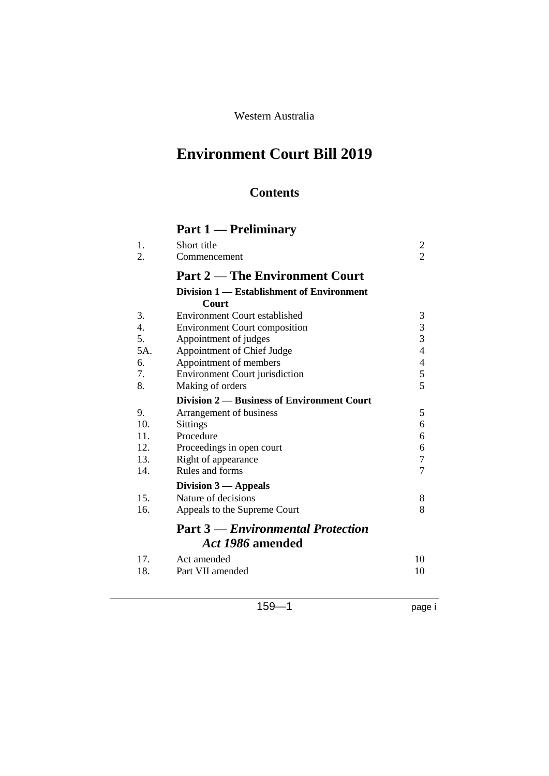#### Western Australia

# **Environment Court Bill 2019**

### **Contents**

| 1.<br>2. | Short title                                | 2<br>$\overline{2}$      |
|----------|--------------------------------------------|--------------------------|
|          | Commencement                               |                          |
|          | <b>Part 2 — The Environment Court</b>      |                          |
|          | Division 1 — Establishment of Environment  |                          |
|          | Court                                      |                          |
| 3.       | <b>Environment Court established</b>       | 3                        |
| 4.       | <b>Environment Court composition</b>       | $\overline{3}$           |
| 5.       | Appointment of judges                      | $\overline{3}$           |
| 5A.      | Appointment of Chief Judge                 | $\overline{\mathcal{A}}$ |
| 6.       | Appointment of members                     | 4                        |
| 7.       | <b>Environment Court jurisdiction</b>      | 5                        |
| 8.       | Making of orders                           | 5                        |
|          | Division 2 — Business of Environment Court |                          |
| 9.       | Arrangement of business                    | 5                        |
| 10.      | <b>Sittings</b>                            | 6                        |
| 11.      | Procedure                                  | 6                        |
| 12.      | Proceedings in open court                  | 6                        |
| 13.      | Right of appearance                        | $\tau$                   |
| 14.      | Rules and forms                            | $\overline{7}$           |
|          | Division $3$ — Appeals                     |                          |
| 15.      | Nature of decisions                        | 8                        |
| 16.      | Appeals to the Supreme Court               | 8                        |
|          | <b>Part 3 – Environmental Protection</b>   |                          |
|          | Act 1986 amended                           |                          |
| 17.      | Act amended                                | 10                       |
| 18.      | Part VII amended                           | 10                       |
|          |                                            |                          |

159—1 page i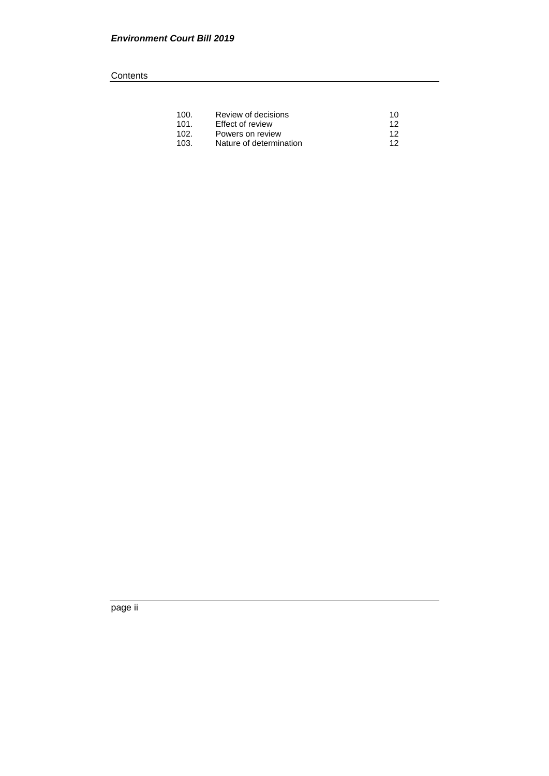#### **Contents**

| 100. | Review of decisions     | 10 |
|------|-------------------------|----|
| 101. | Effect of review        | 12 |
| 102. | Powers on review        | 12 |
| 103. | Nature of determination | 12 |

page ii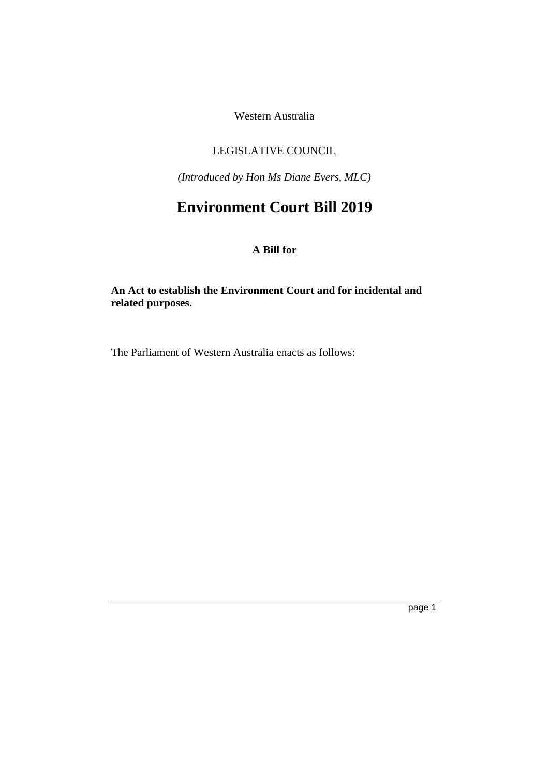Western Australia

#### LEGISLATIVE COUNCIL

*(Introduced by Hon Ms Diane Evers, MLC)*

## **Environment Court Bill 2019**

#### **A Bill for**

#### **An Act to establish the Environment Court and for incidental and related purposes.**

The Parliament of Western Australia enacts as follows: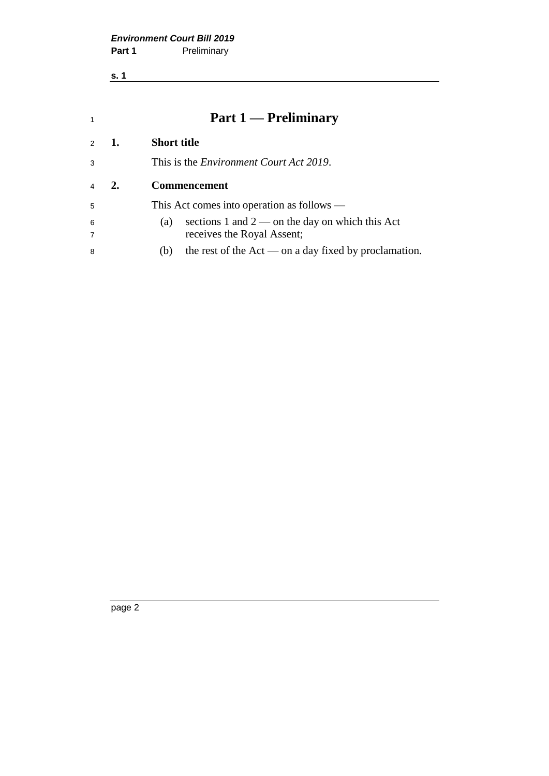**s. 1**

<span id="page-3-1"></span><span id="page-3-0"></span>

| $\mathbf{1}$   |    | <b>Part 1 — Preliminary</b>                                    |  |  |
|----------------|----|----------------------------------------------------------------|--|--|
| $\mathcal{P}$  | 1. | <b>Short title</b>                                             |  |  |
| 3              |    | This is the <i>Environment Court Act 2019</i> .                |  |  |
| $\overline{4}$ | 2. | <b>Commencement</b>                                            |  |  |
| 5              |    | This Act comes into operation as follows —                     |  |  |
| 6              |    | sections 1 and $2$ — on the day on which this Act<br>(a)       |  |  |
| $\overline{7}$ |    | receives the Royal Assent;                                     |  |  |
| 8              |    | the rest of the $Act$ — on a day fixed by proclamation.<br>(b) |  |  |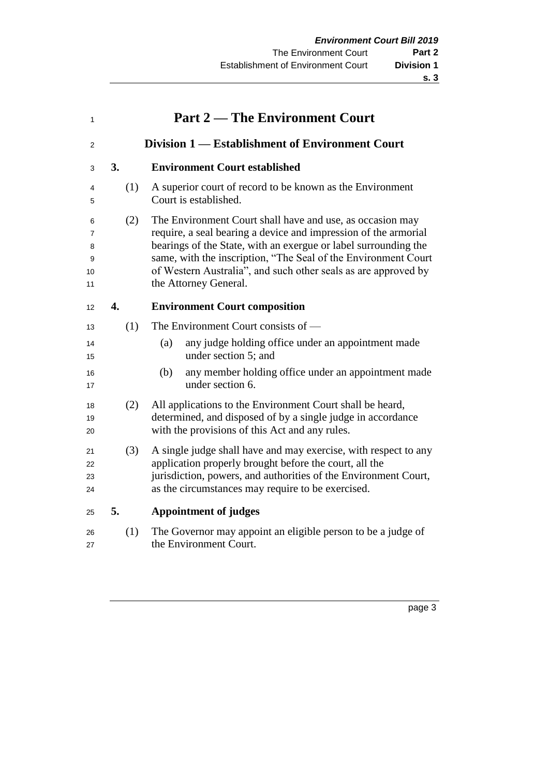<span id="page-4-0"></span>

| 1                            |     | <b>Part 2 — The Environment Court</b>                                                                                                                                                                                                                                                                                                                        |  |  |
|------------------------------|-----|--------------------------------------------------------------------------------------------------------------------------------------------------------------------------------------------------------------------------------------------------------------------------------------------------------------------------------------------------------------|--|--|
| 2                            |     | Division 1 — Establishment of Environment Court                                                                                                                                                                                                                                                                                                              |  |  |
| 3                            | 3.  | <b>Environment Court established</b>                                                                                                                                                                                                                                                                                                                         |  |  |
| 4<br>5                       | (1) | A superior court of record to be known as the Environment<br>Court is established.                                                                                                                                                                                                                                                                           |  |  |
| 6<br>7<br>8<br>9<br>10<br>11 | (2) | The Environment Court shall have and use, as occasion may<br>require, a seal bearing a device and impression of the armorial<br>bearings of the State, with an exergue or label surrounding the<br>same, with the inscription, "The Seal of the Environment Court<br>of Western Australia", and such other seals as are approved by<br>the Attorney General. |  |  |
| 12                           | 4.  | <b>Environment Court composition</b>                                                                                                                                                                                                                                                                                                                         |  |  |
| 13                           | (1) | The Environment Court consists of —                                                                                                                                                                                                                                                                                                                          |  |  |
| 14<br>15                     |     | any judge holding office under an appointment made<br>(a)<br>under section 5; and                                                                                                                                                                                                                                                                            |  |  |
| 16<br>17                     |     | any member holding office under an appointment made<br>(b)<br>under section 6.                                                                                                                                                                                                                                                                               |  |  |
| 18<br>19<br>20               | (2) | All applications to the Environment Court shall be heard,<br>determined, and disposed of by a single judge in accordance<br>with the provisions of this Act and any rules.                                                                                                                                                                                   |  |  |
| 21<br>22<br>23<br>24         | (3) | A single judge shall have and may exercise, with respect to any<br>application properly brought before the court, all the<br>jurisdiction, powers, and authorities of the Environment Court,<br>as the circumstances may require to be exercised.                                                                                                            |  |  |
| 25                           | 5.  | <b>Appointment of judges</b>                                                                                                                                                                                                                                                                                                                                 |  |  |
| 26<br>27                     | (1) | The Governor may appoint an eligible person to be a judge of<br>the Environment Court.                                                                                                                                                                                                                                                                       |  |  |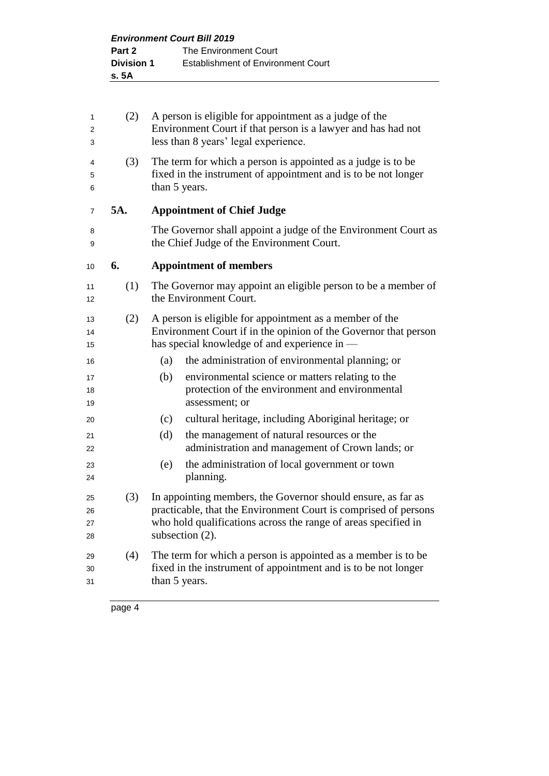<span id="page-5-1"></span><span id="page-5-0"></span>

| 1<br>2<br>3          | (2) | A person is eligible for appointment as a judge of the<br>Environment Court if that person is a lawyer and has had not<br>less than 8 years' legal experience.                                                       |  |  |  |  |
|----------------------|-----|----------------------------------------------------------------------------------------------------------------------------------------------------------------------------------------------------------------------|--|--|--|--|
| 4<br>5<br>6          | (3) | The term for which a person is appointed as a judge is to be<br>fixed in the instrument of appointment and is to be not longer<br>than 5 years.                                                                      |  |  |  |  |
| 7                    | 5A. | <b>Appointment of Chief Judge</b>                                                                                                                                                                                    |  |  |  |  |
| 8<br>9               |     | The Governor shall appoint a judge of the Environment Court as<br>the Chief Judge of the Environment Court.                                                                                                          |  |  |  |  |
| 10                   | 6.  | <b>Appointment of members</b>                                                                                                                                                                                        |  |  |  |  |
| 11<br>12             | (1) | The Governor may appoint an eligible person to be a member of<br>the Environment Court.                                                                                                                              |  |  |  |  |
| 13<br>14<br>15       | (2) | A person is eligible for appointment as a member of the<br>Environment Court if in the opinion of the Governor that person<br>has special knowledge of and experience in —                                           |  |  |  |  |
| 16                   |     | the administration of environmental planning; or<br>(a)                                                                                                                                                              |  |  |  |  |
| 17<br>18<br>19       |     | environmental science or matters relating to the<br>(b)<br>protection of the environment and environmental<br>assessment; or                                                                                         |  |  |  |  |
| 20                   |     | cultural heritage, including Aboriginal heritage; or<br>(c)                                                                                                                                                          |  |  |  |  |
| 21<br>22             |     | (d)<br>the management of natural resources or the<br>administration and management of Crown lands; or                                                                                                                |  |  |  |  |
| 23<br>24             |     | the administration of local government or town<br>(e)<br>planning.                                                                                                                                                   |  |  |  |  |
| 25<br>26<br>27<br>28 | (3) | In appointing members, the Governor should ensure, as far as<br>practicable, that the Environment Court is comprised of persons<br>who hold qualifications across the range of areas specified in<br>subsection (2). |  |  |  |  |
| 29<br>30<br>31       | (4) | The term for which a person is appointed as a member is to be.<br>fixed in the instrument of appointment and is to be not longer<br>than 5 years.                                                                    |  |  |  |  |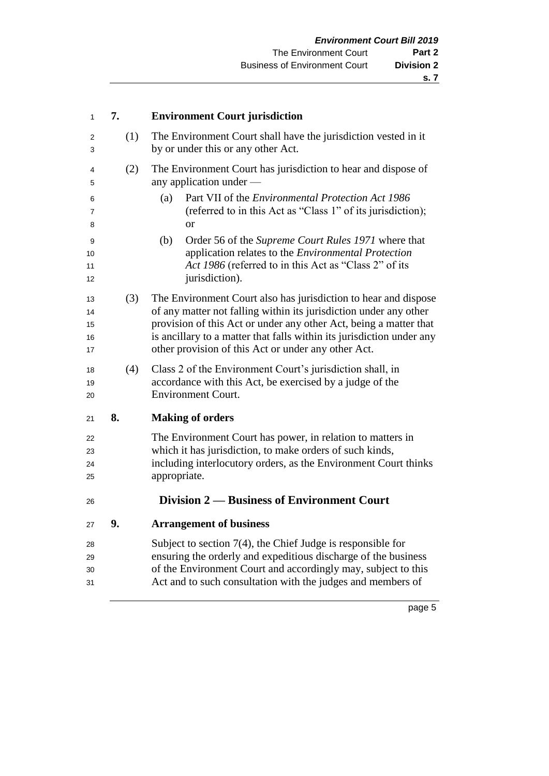<span id="page-6-0"></span>

| 1                          | 7.  | <b>Environment Court jurisdiction</b>                                                                                                                                                                                                                                                                                                     |  |  |
|----------------------------|-----|-------------------------------------------------------------------------------------------------------------------------------------------------------------------------------------------------------------------------------------------------------------------------------------------------------------------------------------------|--|--|
| 2<br>3                     | (1) | The Environment Court shall have the jurisdiction vested in it<br>by or under this or any other Act.                                                                                                                                                                                                                                      |  |  |
| 4<br>5                     | (2) | The Environment Court has jurisdiction to hear and dispose of<br>any application under —                                                                                                                                                                                                                                                  |  |  |
| 6<br>7<br>8                |     | Part VII of the <i>Environmental Protection Act 1986</i><br>(a)<br>(referred to in this Act as "Class 1" of its jurisdiction);<br><b>or</b>                                                                                                                                                                                               |  |  |
| 9<br>10<br>11<br>12        |     | (b)<br>Order 56 of the Supreme Court Rules 1971 where that<br>application relates to the Environmental Protection<br>Act 1986 (referred to in this Act as "Class 2" of its<br>jurisdiction).                                                                                                                                              |  |  |
| 13<br>14<br>15<br>16<br>17 | (3) | The Environment Court also has jurisdiction to hear and dispose<br>of any matter not falling within its jurisdiction under any other<br>provision of this Act or under any other Act, being a matter that<br>is ancillary to a matter that falls within its jurisdiction under any<br>other provision of this Act or under any other Act. |  |  |
| 18<br>19<br>20             | (4) | Class 2 of the Environment Court's jurisdiction shall, in<br>accordance with this Act, be exercised by a judge of the<br><b>Environment Court.</b>                                                                                                                                                                                        |  |  |
| 21                         | 8.  | <b>Making of orders</b>                                                                                                                                                                                                                                                                                                                   |  |  |
| 22<br>23<br>24<br>25       |     | The Environment Court has power, in relation to matters in<br>which it has jurisdiction, to make orders of such kinds,<br>including interlocutory orders, as the Environment Court thinks<br>appropriate.                                                                                                                                 |  |  |
| 26                         |     | Division 2 — Business of Environment Court                                                                                                                                                                                                                                                                                                |  |  |
| 27                         | 9.  | <b>Arrangement of business</b>                                                                                                                                                                                                                                                                                                            |  |  |
| 28<br>29<br>30<br>31       |     | Subject to section $7(4)$ , the Chief Judge is responsible for<br>ensuring the orderly and expeditious discharge of the business<br>of the Environment Court and accordingly may, subject to this<br>Act and to such consultation with the judges and members of                                                                          |  |  |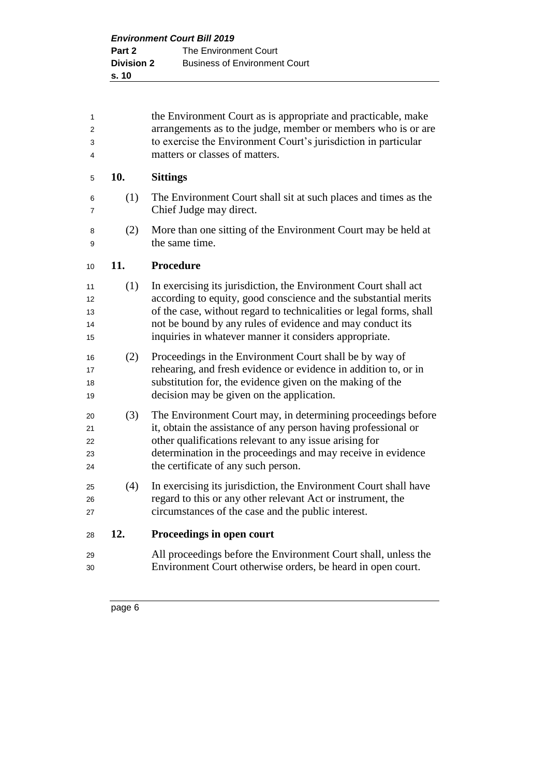| 1<br>$\overline{2}$<br>3<br>4 |     | the Environment Court as is appropriate and practicable, make<br>arrangements as to the judge, member or members who is or are<br>to exercise the Environment Court's jurisdiction in particular<br>matters or classes of matters.                                                                                               |
|-------------------------------|-----|----------------------------------------------------------------------------------------------------------------------------------------------------------------------------------------------------------------------------------------------------------------------------------------------------------------------------------|
| 5                             | 10. | <b>Sittings</b>                                                                                                                                                                                                                                                                                                                  |
| 6<br>7                        | (1) | The Environment Court shall sit at such places and times as the<br>Chief Judge may direct.                                                                                                                                                                                                                                       |
| 8<br>9                        | (2) | More than one sitting of the Environment Court may be held at<br>the same time.                                                                                                                                                                                                                                                  |
| 10                            | 11. | <b>Procedure</b>                                                                                                                                                                                                                                                                                                                 |
| 11<br>12<br>13<br>14<br>15    | (1) | In exercising its jurisdiction, the Environment Court shall act<br>according to equity, good conscience and the substantial merits<br>of the case, without regard to technicalities or legal forms, shall<br>not be bound by any rules of evidence and may conduct its<br>inquiries in whatever manner it considers appropriate. |
| 16<br>17<br>18<br>19          | (2) | Proceedings in the Environment Court shall be by way of<br>rehearing, and fresh evidence or evidence in addition to, or in<br>substitution for, the evidence given on the making of the<br>decision may be given on the application.                                                                                             |
| 20<br>21<br>22<br>23<br>24    | (3) | The Environment Court may, in determining proceedings before<br>it, obtain the assistance of any person having professional or<br>other qualifications relevant to any issue arising for<br>determination in the proceedings and may receive in evidence<br>the certificate of any such person.                                  |
| 25<br>26<br>27                | (4) | In exercising its jurisdiction, the Environment Court shall have<br>regard to this or any other relevant Act or instrument, the<br>circumstances of the case and the public interest.                                                                                                                                            |
| 28                            | 12. | Proceedings in open court                                                                                                                                                                                                                                                                                                        |
| 29<br>30                      |     | All proceedings before the Environment Court shall, unless the<br>Environment Court otherwise orders, be heard in open court.                                                                                                                                                                                                    |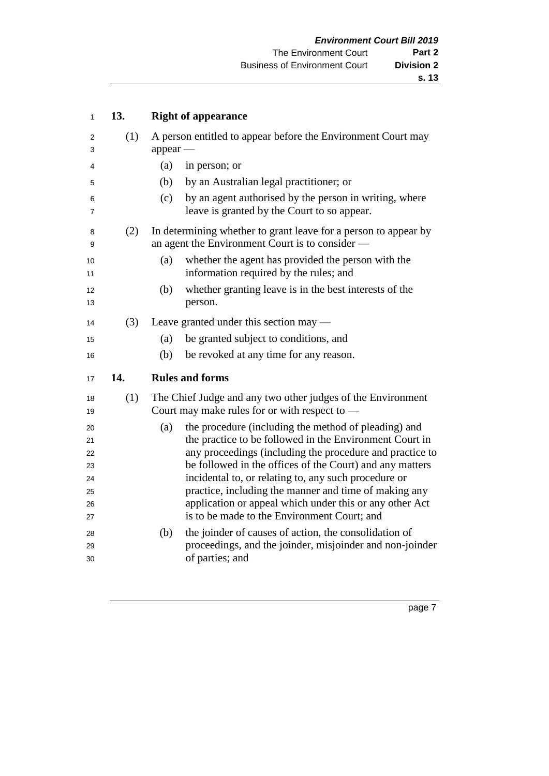| 1        | 13. | <b>Right of appearance</b>                                                                                           |  |  |  |
|----------|-----|----------------------------------------------------------------------------------------------------------------------|--|--|--|
| 2<br>3   | (1) | A person entitled to appear before the Environment Court may<br>appear                                               |  |  |  |
| 4        |     | (a)<br>in person; or                                                                                                 |  |  |  |
| 5        |     | (b)<br>by an Australian legal practitioner; or                                                                       |  |  |  |
| 6<br>7   |     | by an agent authorised by the person in writing, where<br>(c)<br>leave is granted by the Court to so appear.         |  |  |  |
| 8<br>9   | (2) | In determining whether to grant leave for a person to appear by<br>an agent the Environment Court is to consider —   |  |  |  |
| 10<br>11 |     | whether the agent has provided the person with the<br>(a)<br>information required by the rules; and                  |  |  |  |
| 12<br>13 |     | whether granting leave is in the best interests of the<br>(b)<br>person.                                             |  |  |  |
| 14       | (3) | Leave granted under this section may —                                                                               |  |  |  |
| 15       |     | be granted subject to conditions, and<br>(a)                                                                         |  |  |  |
| 16       |     | (b)<br>be revoked at any time for any reason.                                                                        |  |  |  |
| 17       | 14. | <b>Rules and forms</b>                                                                                               |  |  |  |
| 18<br>19 | (1) | The Chief Judge and any two other judges of the Environment<br>Court may make rules for or with respect to $-$       |  |  |  |
| 20       |     | the procedure (including the method of pleading) and<br>(a)                                                          |  |  |  |
| 21       |     | the practice to be followed in the Environment Court in                                                              |  |  |  |
| 22       |     | any proceedings (including the procedure and practice to<br>be followed in the offices of the Court) and any matters |  |  |  |
| 23<br>24 |     | incidental to, or relating to, any such procedure or                                                                 |  |  |  |
| 25       |     | practice, including the manner and time of making any                                                                |  |  |  |
| 26       |     | application or appeal which under this or any other Act                                                              |  |  |  |
| 27       |     | is to be made to the Environment Court; and                                                                          |  |  |  |
| 28       |     | the joinder of causes of action, the consolidation of<br>(b)                                                         |  |  |  |
| 29       |     | proceedings, and the joinder, misjoinder and non-joinder                                                             |  |  |  |
| 30       |     | of parties; and                                                                                                      |  |  |  |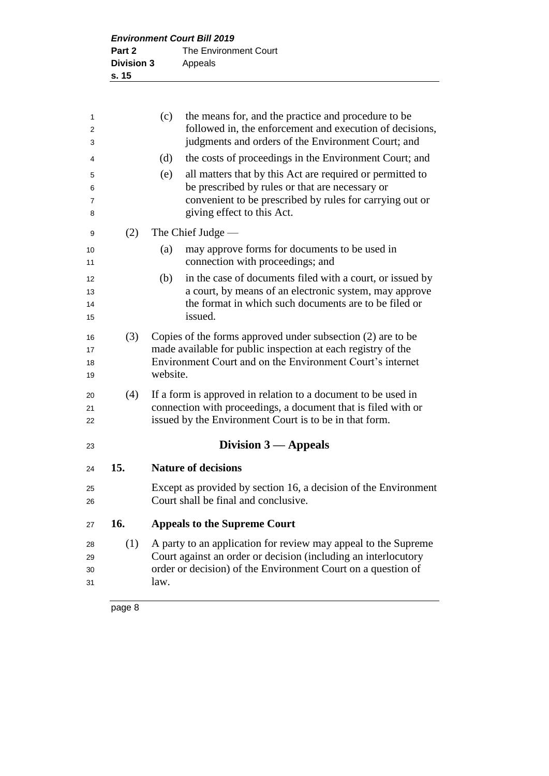<span id="page-9-2"></span><span id="page-9-1"></span><span id="page-9-0"></span>

| 1        |     | (c)<br>the means for, and the practice and procedure to be                                                              |
|----------|-----|-------------------------------------------------------------------------------------------------------------------------|
| 2        |     | followed in, the enforcement and execution of decisions,                                                                |
| 3        |     | judgments and orders of the Environment Court; and                                                                      |
| 4        |     | the costs of proceedings in the Environment Court; and<br>(d)                                                           |
| 5        |     | all matters that by this Act are required or permitted to<br>(e)                                                        |
| 6        |     | be prescribed by rules or that are necessary or                                                                         |
| 7        |     | convenient to be prescribed by rules for carrying out or                                                                |
| 8        |     | giving effect to this Act.                                                                                              |
| 9        | (2) | The Chief Judge -                                                                                                       |
| 10       |     | may approve forms for documents to be used in<br>(a)                                                                    |
| 11       |     | connection with proceedings; and                                                                                        |
| 12       |     | in the case of documents filed with a court, or issued by<br>(b)                                                        |
| 13       |     | a court, by means of an electronic system, may approve                                                                  |
| 14       |     | the format in which such documents are to be filed or<br>issued.                                                        |
| 15       |     |                                                                                                                         |
| 16       | (3) | Copies of the forms approved under subsection $(2)$ are to be                                                           |
| 17       |     | made available for public inspection at each registry of the                                                            |
| 18<br>19 |     | Environment Court and on the Environment Court's internet<br>website.                                                   |
|          |     |                                                                                                                         |
| 20       | (4) | If a form is approved in relation to a document to be used in                                                           |
| 21       |     | connection with proceedings, a document that is filed with or<br>issued by the Environment Court is to be in that form. |
| 22       |     |                                                                                                                         |
| 23       |     | Division $3$ — Appeals                                                                                                  |
| 24       | 15. | <b>Nature of decisions</b>                                                                                              |
|          |     | Except as provided by section 16, a decision of the Environment                                                         |
| 25<br>26 |     | Court shall be final and conclusive.                                                                                    |
|          |     |                                                                                                                         |
| 27       | 16. | <b>Appeals to the Supreme Court</b>                                                                                     |
| 28       | (1) | A party to an application for review may appeal to the Supreme                                                          |
| 29       |     | Court against an order or decision (including an interlocutory                                                          |
| 30       |     | order or decision) of the Environment Court on a question of                                                            |
| 31       |     | law.                                                                                                                    |
|          |     |                                                                                                                         |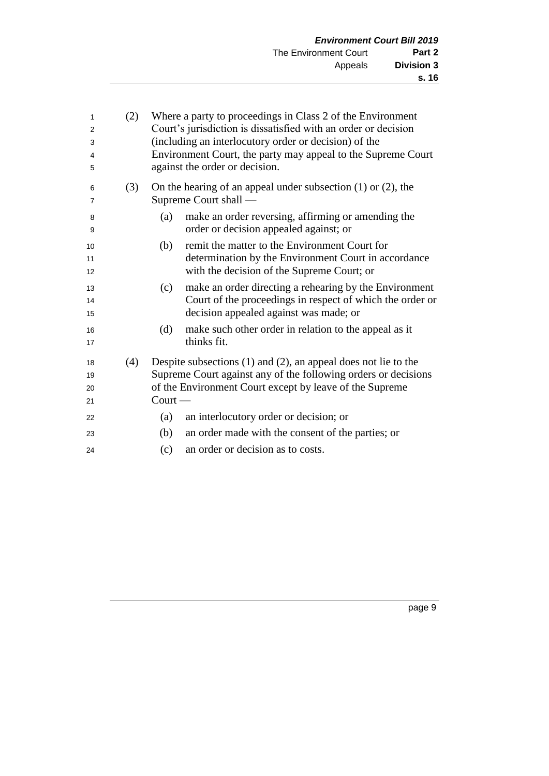<span id="page-10-0"></span>

| 1<br>$\overline{2}$<br>3<br>4<br>5 | (2) | Where a party to proceedings in Class 2 of the Environment<br>Court's jurisdiction is dissatisfied with an order or decision<br>(including an interlocutory order or decision) of the<br>Environment Court, the party may appeal to the Supreme Court<br>against the order or decision. |                                                                                                                                                                                                  |  |  |  |
|------------------------------------|-----|-----------------------------------------------------------------------------------------------------------------------------------------------------------------------------------------------------------------------------------------------------------------------------------------|--------------------------------------------------------------------------------------------------------------------------------------------------------------------------------------------------|--|--|--|
| 6<br>7                             | (3) |                                                                                                                                                                                                                                                                                         | On the hearing of an appeal under subsection $(1)$ or $(2)$ , the<br>Supreme Court shall -                                                                                                       |  |  |  |
| 8<br>9                             |     | (a)                                                                                                                                                                                                                                                                                     | make an order reversing, affirming or amending the<br>order or decision appealed against; or                                                                                                     |  |  |  |
| 10<br>11<br>12                     |     | (b)                                                                                                                                                                                                                                                                                     | remit the matter to the Environment Court for<br>determination by the Environment Court in accordance<br>with the decision of the Supreme Court; or                                              |  |  |  |
| 13<br>14<br>15                     |     | (c)                                                                                                                                                                                                                                                                                     | make an order directing a rehearing by the Environment<br>Court of the proceedings in respect of which the order or<br>decision appealed against was made; or                                    |  |  |  |
| 16<br>17                           |     | (d)                                                                                                                                                                                                                                                                                     | make such other order in relation to the appeal as it<br>thinks fit.                                                                                                                             |  |  |  |
| 18<br>19<br>20<br>21               | (4) | $Count$ —                                                                                                                                                                                                                                                                               | Despite subsections $(1)$ and $(2)$ , an appeal does not lie to the<br>Supreme Court against any of the following orders or decisions<br>of the Environment Court except by leave of the Supreme |  |  |  |
| 22                                 |     | (a)                                                                                                                                                                                                                                                                                     | an interlocutory order or decision; or                                                                                                                                                           |  |  |  |
| 23                                 |     | (b)                                                                                                                                                                                                                                                                                     | an order made with the consent of the parties; or                                                                                                                                                |  |  |  |
| 24                                 |     | (c)                                                                                                                                                                                                                                                                                     | an order or decision as to costs.                                                                                                                                                                |  |  |  |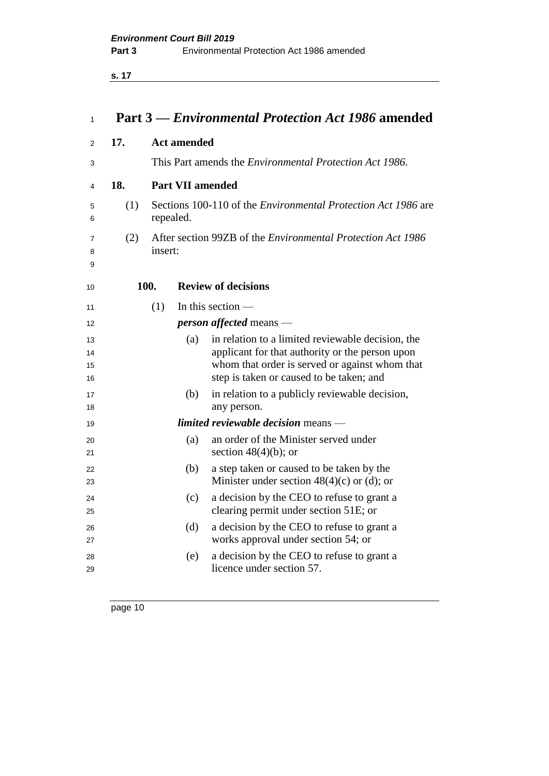**s. 17**

| 1                    |     |                                                                                   |                         | Part 3 – Environmental Protection Act 1986 amended                                                                                                                                                 |  |
|----------------------|-----|-----------------------------------------------------------------------------------|-------------------------|----------------------------------------------------------------------------------------------------------------------------------------------------------------------------------------------------|--|
| 2                    | 17. |                                                                                   | <b>Act amended</b>      |                                                                                                                                                                                                    |  |
| 3                    |     |                                                                                   |                         | This Part amends the <i>Environmental Protection Act 1986</i> .                                                                                                                                    |  |
| 4                    | 18. |                                                                                   | <b>Part VII amended</b> |                                                                                                                                                                                                    |  |
| 5<br>6               | (1) | Sections 100-110 of the <i>Environmental Protection Act 1986</i> are<br>repealed. |                         |                                                                                                                                                                                                    |  |
| 7<br>8<br>9          | (2) | insert:                                                                           |                         | After section 99ZB of the <i>Environmental Protection Act 1986</i>                                                                                                                                 |  |
| 10                   |     | 100.                                                                              |                         | <b>Review of decisions</b>                                                                                                                                                                         |  |
| 11                   |     | (1)                                                                               |                         | In this section $-$                                                                                                                                                                                |  |
| 12                   |     |                                                                                   |                         | <i>person affected</i> means —                                                                                                                                                                     |  |
| 13<br>14<br>15<br>16 |     |                                                                                   | (a)                     | in relation to a limited reviewable decision, the<br>applicant for that authority or the person upon<br>whom that order is served or against whom that<br>step is taken or caused to be taken; and |  |
| 17<br>18             |     |                                                                                   | (b)                     | in relation to a publicly reviewable decision,<br>any person.                                                                                                                                      |  |
| 19                   |     |                                                                                   |                         | <i>limited reviewable decision</i> means —                                                                                                                                                         |  |
| 20<br>21             |     |                                                                                   | (a)                     | an order of the Minister served under<br>section $48(4)(b)$ ; or                                                                                                                                   |  |
| 22<br>23             |     |                                                                                   | (b)                     | a step taken or caused to be taken by the<br>Minister under section $48(4)(c)$ or (d); or                                                                                                          |  |
| 24<br>25             |     |                                                                                   | (c)                     | a decision by the CEO to refuse to grant a<br>clearing permit under section 51E; or                                                                                                                |  |
| 26<br>27             |     |                                                                                   | (d)                     | a decision by the CEO to refuse to grant a<br>works approval under section 54; or                                                                                                                  |  |
| 28<br>29             |     |                                                                                   | (e)                     | a decision by the CEO to refuse to grant a<br>licence under section 57.                                                                                                                            |  |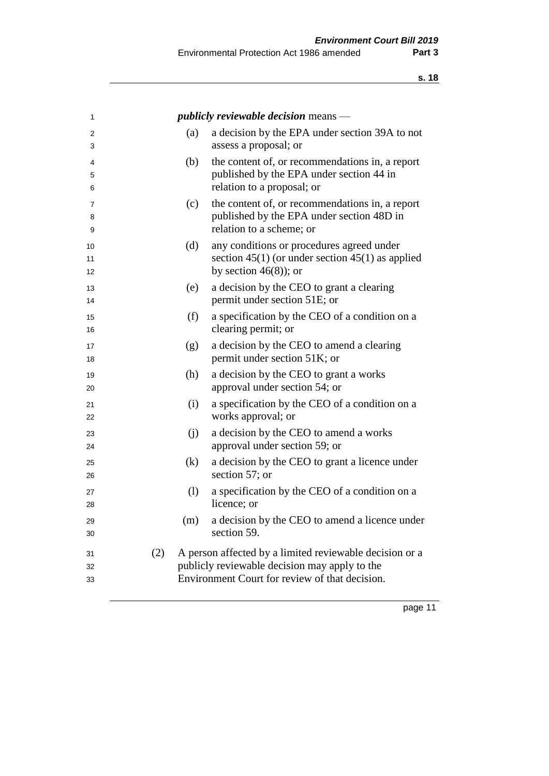| 1                        | <i>publicly reviewable decision</i> means $-$                                                                                                                     |
|--------------------------|-------------------------------------------------------------------------------------------------------------------------------------------------------------------|
| 2<br>3                   | a decision by the EPA under section 39A to not<br>(a)<br>assess a proposal; or                                                                                    |
| 4<br>5<br>6              | the content of, or recommendations in, a report<br>(b)<br>published by the EPA under section 44 in<br>relation to a proposal; or                                  |
| $\overline{7}$<br>8<br>9 | the content of, or recommendations in, a report<br>(c)<br>published by the EPA under section 48D in<br>relation to a scheme; or                                   |
| 10<br>11<br>12           | (d)<br>any conditions or procedures agreed under<br>section $45(1)$ (or under section $45(1)$ as applied<br>by section $46(8)$ ; or                               |
| 13<br>14                 | a decision by the CEO to grant a clearing<br>(e)<br>permit under section 51E; or                                                                                  |
| 15<br>16                 | (f)<br>a specification by the CEO of a condition on a<br>clearing permit; or                                                                                      |
| 17<br>18                 | a decision by the CEO to amend a clearing<br>(g)<br>permit under section 51K; or                                                                                  |
| 19<br>20                 | a decision by the CEO to grant a works<br>(h)<br>approval under section 54; or                                                                                    |
| 21<br>22                 | (i)<br>a specification by the CEO of a condition on a<br>works approval; or                                                                                       |
| 23<br>24                 | a decision by the CEO to amend a works<br>(j)<br>approval under section 59; or                                                                                    |
| 25<br>26                 | (k)<br>a decision by the CEO to grant a licence under<br>section 57; or                                                                                           |
| 27<br>28                 | (1)<br>a specification by the CEO of a condition on a<br>licence; or                                                                                              |
| 29<br>30                 | (m) a decision by the CEO to amend a licence under<br>section 59.                                                                                                 |
| 31<br>32<br>33           | A person affected by a limited reviewable decision or a<br>(2)<br>publicly reviewable decision may apply to the<br>Environment Court for review of that decision. |